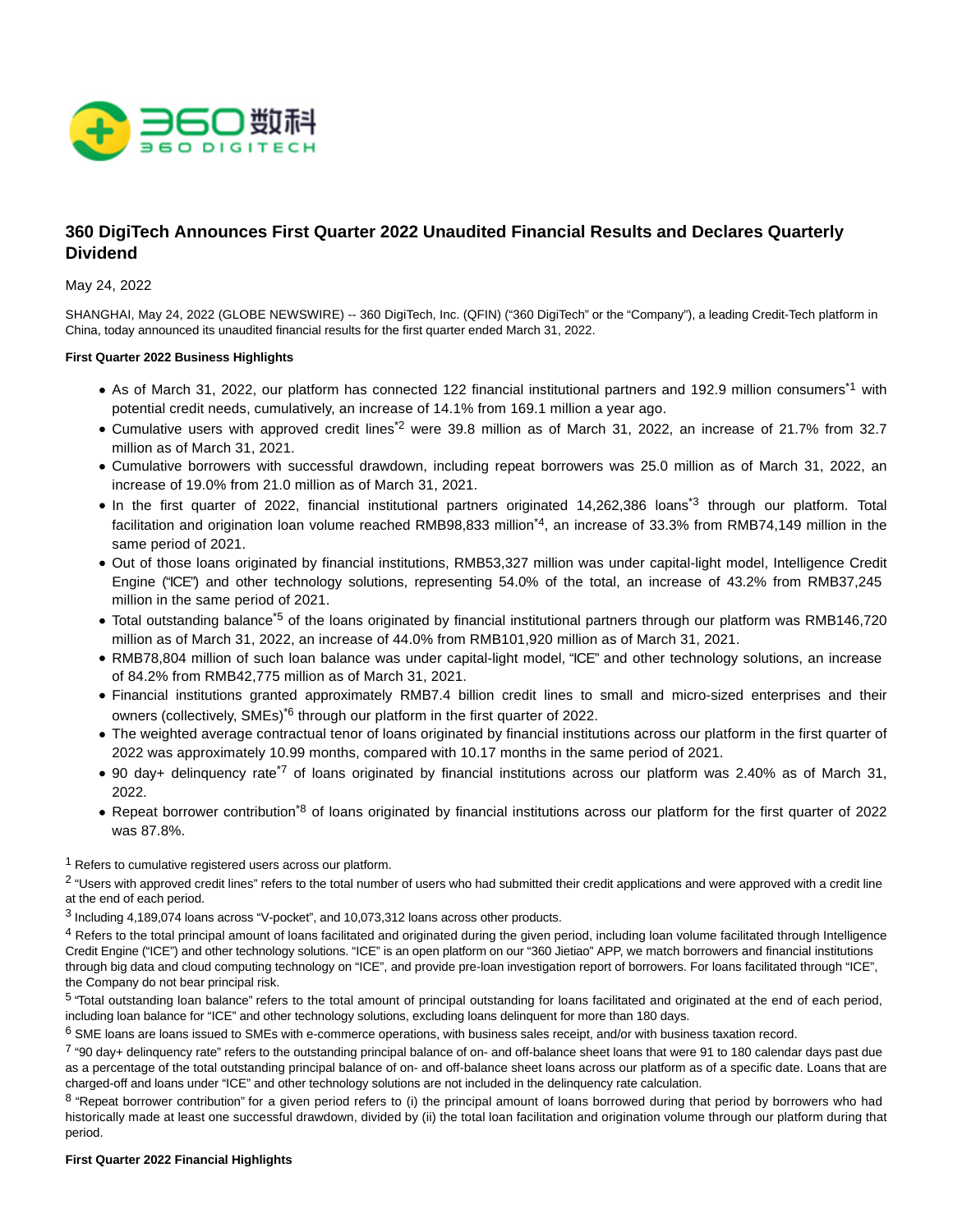

# **360 DigiTech Announces First Quarter 2022 Unaudited Financial Results and Declares Quarterly Dividend**

May 24, 2022

SHANGHAI, May 24, 2022 (GLOBE NEWSWIRE) -- 360 DigiTech, Inc. (QFIN) ("360 DigiTech" or the "Company"), a leading Credit-Tech platform in China, today announced its unaudited financial results for the first quarter ended March 31, 2022.

## **First Quarter 2022 Business Highlights**

- As of March 31, 2022, our platform has connected 122 financial institutional partners and 192.9 million consumers<sup>\*1</sup> with potential credit needs, cumulatively, an increase of 14.1% from 169.1 million a year ago.
- Cumulative users with approved credit lines\*2 were 39.8 million as of March 31, 2022, an increase of 21.7% from 32.7 million as of March 31, 2021.
- Cumulative borrowers with successful drawdown, including repeat borrowers was 25.0 million as of March 31, 2022, an increase of 19.0% from 21.0 million as of March 31, 2021.
- In the first quarter of 2022, financial institutional partners originated 14,262,386 loans<sup>\*3</sup> through our platform. Total facilitation and origination loan volume reached RMB98,833 million<sup>\*4</sup>, an increase of 33.3% from RMB74,149 million in the same period of 2021.
- Out of those loans originated by financial institutions, RMB53,327 million was under capital-light model, Intelligence Credit Engine ("ICE") and other technology solutions, representing 54.0% of the total, an increase of 43.2% from RMB37,245 million in the same period of 2021.
- Total outstanding balance<sup>\*5</sup> of the loans originated by financial institutional partners through our platform was RMB146,720 million as of March 31, 2022, an increase of 44.0% from RMB101,920 million as of March 31, 2021.
- RMB78,804 million of such loan balance was under capital-light model, "ICE" and other technology solutions, an increase of 84.2% from RMB42,775 million as of March 31, 2021.
- Financial institutions granted approximately RMB7.4 billion credit lines to small and micro-sized enterprises and their owners (collectively, SMEs)<sup>\*6</sup> through our platform in the first quarter of 2022.
- The weighted average contractual tenor of loans originated by financial institutions across our platform in the first quarter of 2022 was approximately 10.99 months, compared with 10.17 months in the same period of 2021.
- 90 day+ delinquency rate\*7 of loans originated by financial institutions across our platform was 2.40% as of March 31, 2022.
- Repeat borrower contribution<sup>\*8</sup> of loans originated by financial institutions across our platform for the first quarter of 2022 was 87.8%.

1 Refers to cumulative registered users across our platform.

<sup>2</sup> "Users with approved credit lines" refers to the total number of users who had submitted their credit applications and were approved with a credit line at the end of each period.

3 Including 4,189,074 loans across "V-pocket", and 10,073,312 loans across other products.

4 Refers to the total principal amount of loans facilitated and originated during the given period, including loan volume facilitated through Intelligence Credit Engine ("ICE") and other technology solutions. "ICE" is an open platform on our "360 Jietiao" APP, we match borrowers and financial institutions through big data and cloud computing technology on "ICE", and provide pre-loan investigation report of borrowers. For loans facilitated through "ICE", the Company do not bear principal risk.

5 "Total outstanding loan balance" refers to the total amount of principal outstanding for loans facilitated and originated at the end of each period, including loan balance for "ICE" and other technology solutions, excluding loans delinquent for more than 180 days.

 $6$  SME loans are loans issued to SMEs with e-commerce operations, with business sales receipt, and/or with business taxation record.

 $7$  "90 day+ delinquency rate" refers to the outstanding principal balance of on- and off-balance sheet loans that were 91 to 180 calendar days past due as a percentage of the total outstanding principal balance of on- and off-balance sheet loans across our platform as of a specific date. Loans that are charged-off and loans under "ICE" and other technology solutions are not included in the delinquency rate calculation.

<sup>8</sup> "Repeat borrower contribution" for a given period refers to (i) the principal amount of loans borrowed during that period by borrowers who had historically made at least one successful drawdown, divided by (ii) the total loan facilitation and origination volume through our platform during that period.

### **First Quarter 2022 Financial Highlights**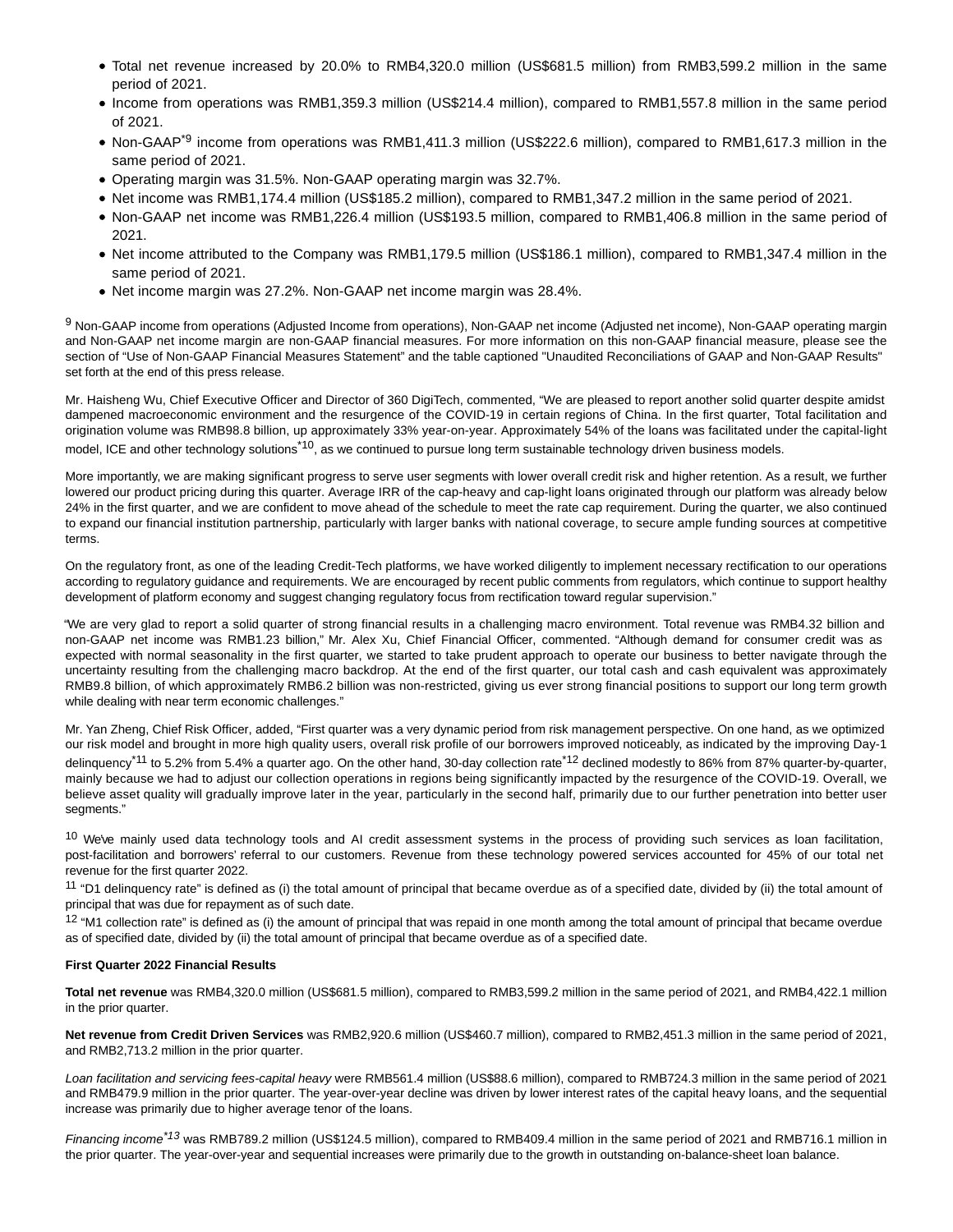- Total net revenue increased by 20.0% to RMB4,320.0 million (US\$681.5 million) from RMB3,599.2 million in the same period of 2021.
- Income from operations was RMB1,359.3 million (US\$214.4 million), compared to RMB1,557.8 million in the same period of 2021.
- Non-GAAP\*9 income from operations was RMB1,411.3 million (US\$222.6 million), compared to RMB1,617.3 million in the same period of 2021.
- Operating margin was 31.5%. Non-GAAP operating margin was 32.7%.
- Net income was RMB1,174.4 million (US\$185.2 million), compared to RMB1,347.2 million in the same period of 2021.
- Non-GAAP net income was RMB1,226.4 million (US\$193.5 million, compared to RMB1,406.8 million in the same period of 2021.
- Net income attributed to the Company was RMB1,179.5 million (US\$186.1 million), compared to RMB1,347.4 million in the same period of 2021.
- Net income margin was 27.2%. Non-GAAP net income margin was 28.4%.

9 Non-GAAP income from operations (Adjusted Income from operations), Non-GAAP net income (Adjusted net income), Non-GAAP operating margin and Non-GAAP net income margin are non-GAAP financial measures. For more information on this non-GAAP financial measure, please see the section of "Use of Non-GAAP Financial Measures Statement" and the table captioned "Unaudited Reconciliations of GAAP and Non-GAAP Results" set forth at the end of this press release.

Mr. Haisheng Wu, Chief Executive Officer and Director of 360 DigiTech, commented, "We are pleased to report another solid quarter despite amidst dampened macroeconomic environment and the resurgence of the COVID-19 in certain regions of China. In the first quarter, Total facilitation and origination volume was RMB98.8 billion, up approximately 33% year-on-year. Approximately 54% of the loans was facilitated under the capital-light model, ICE and other technology solutions<sup>\*10</sup>, as we continued to pursue long term sustainable technology driven business models.

More importantly, we are making significant progress to serve user segments with lower overall credit risk and higher retention. As a result, we further lowered our product pricing during this quarter. Average IRR of the cap-heavy and cap-light loans originated through our platform was already below 24% in the first quarter, and we are confident to move ahead of the schedule to meet the rate cap requirement. During the quarter, we also continued to expand our financial institution partnership, particularly with larger banks with national coverage, to secure ample funding sources at competitive terms.

On the regulatory front, as one of the leading Credit-Tech platforms, we have worked diligently to implement necessary rectification to our operations according to regulatory guidance and requirements. We are encouraged by recent public comments from regulators, which continue to support healthy development of platform economy and suggest changing regulatory focus from rectification toward regular supervision."

"We are very glad to report a solid quarter of strong financial results in a challenging macro environment. Total revenue was RMB4.32 billion and non-GAAP net income was RMB1.23 billion," Mr. Alex Xu, Chief Financial Officer, commented. "Although demand for consumer credit was as expected with normal seasonality in the first quarter, we started to take prudent approach to operate our business to better navigate through the uncertainty resulting from the challenging macro backdrop. At the end of the first quarter, our total cash and cash equivalent was approximately RMB9.8 billion, of which approximately RMB6.2 billion was non-restricted, giving us ever strong financial positions to support our long term growth while dealing with near term economic challenges."

Mr. Yan Zheng, Chief Risk Officer, added, "First quarter was a very dynamic period from risk management perspective. On one hand, as we optimized our risk model and brought in more high quality users, overall risk profile of our borrowers improved noticeably, as indicated by the improving Day-1 delinquency<sup>\*11</sup> to 5.2% from 5.4% a quarter ago. On the other hand, 30-day collection rate<sup>\*12</sup> declined modestly to 86% from 87% quarter-by-quarter, mainly because we had to adjust our collection operations in regions being significantly impacted by the resurgence of the COVID-19. Overall, we believe asset quality will gradually improve later in the year, particularly in the second half, primarily due to our further penetration into better user segments."

<sup>10</sup> We've mainly used data technology tools and AI credit assessment systems in the process of providing such services as loan facilitation, post-facilitation and borrowers' referral to our customers. Revenue from these technology powered services accounted for 45% of our total net revenue for the first quarter 2022.

<sup>11</sup> "D1 delinquency rate" is defined as (i) the total amount of principal that became overdue as of a specified date, divided by (ii) the total amount of principal that was due for repayment as of such date.

 $12$  "M1 collection rate" is defined as (i) the amount of principal that was repaid in one month among the total amount of principal that became overdue as of specified date, divided by (ii) the total amount of principal that became overdue as of a specified date.

## **First Quarter 2022 Financial Results**

**Total net revenue** was RMB4,320.0 million (US\$681.5 million), compared to RMB3,599.2 million in the same period of 2021, and RMB4,422.1 million in the prior quarter.

**Net revenue from Credit Driven Services** was RMB2,920.6 million (US\$460.7 million), compared to RMB2,451.3 million in the same period of 2021, and RMB2,713.2 million in the prior quarter.

Loan facilitation and servicing fees-capital heavy were RMB561.4 million (US\$88.6 million), compared to RMB724.3 million in the same period of 2021 and RMB479.9 million in the prior quarter. The year-over-year decline was driven by lower interest rates of the capital heavy loans, and the sequential increase was primarily due to higher average tenor of the loans.

Financing income<sup>\*13</sup> was RMB789.2 million (US\$124.5 million), compared to RMB409.4 million in the same period of 2021 and RMB716.1 million in the prior quarter. The year-over-year and sequential increases were primarily due to the growth in outstanding on-balance-sheet loan balance.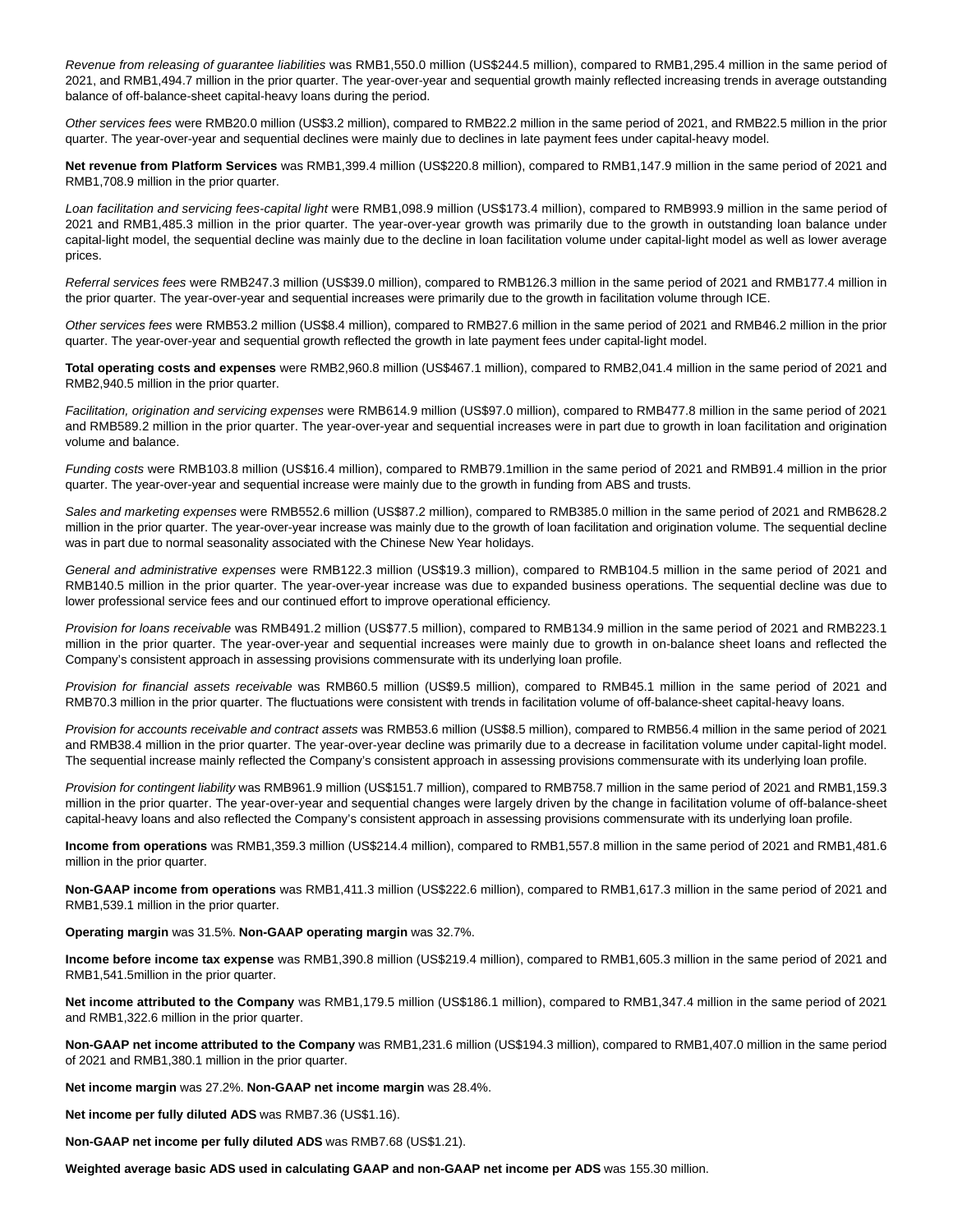Revenue from releasing of guarantee liabilities was RMB1,550.0 million (US\$244.5 million), compared to RMB1,295.4 million in the same period of 2021, and RMB1,494.7 million in the prior quarter. The year-over-year and sequential growth mainly reflected increasing trends in average outstanding balance of off-balance-sheet capital-heavy loans during the period.

Other services fees were RMB20.0 million (US\$3.2 million), compared to RMB22.2 million in the same period of 2021, and RMB22.5 million in the prior quarter. The year-over-year and sequential declines were mainly due to declines in late payment fees under capital-heavy model.

**Net revenue from Platform Services** was RMB1,399.4 million (US\$220.8 million), compared to RMB1,147.9 million in the same period of 2021 and RMB1,708.9 million in the prior quarter.

Loan facilitation and servicing fees-capital light were RMB1,098.9 million (US\$173.4 million), compared to RMB993.9 million in the same period of 2021 and RMB1,485.3 million in the prior quarter. The year-over-year growth was primarily due to the growth in outstanding loan balance under capital-light model, the sequential decline was mainly due to the decline in loan facilitation volume under capital-light model as well as lower average prices.

Referral services fees were RMB247.3 million (US\$39.0 million), compared to RMB126.3 million in the same period of 2021 and RMB177.4 million in the prior quarter. The year-over-year and sequential increases were primarily due to the growth in facilitation volume through ICE.

Other services fees were RMB53.2 million (US\$8.4 million), compared to RMB27.6 million in the same period of 2021 and RMB46.2 million in the prior quarter. The year-over-year and sequential growth reflected the growth in late payment fees under capital-light model.

**Total operating costs and expenses** were RMB2,960.8 million (US\$467.1 million), compared to RMB2,041.4 million in the same period of 2021 and RMB2,940.5 million in the prior quarter.

Facilitation, origination and servicing expenses were RMB614.9 million (US\$97.0 million), compared to RMB477.8 million in the same period of 2021 and RMB589.2 million in the prior quarter. The year-over-year and sequential increases were in part due to growth in loan facilitation and origination volume and balance.

Funding costs were RMB103.8 million (US\$16.4 million), compared to RMB79.1million in the same period of 2021 and RMB91.4 million in the prior quarter. The year-over-year and sequential increase were mainly due to the growth in funding from ABS and trusts.

Sales and marketing expenses were RMB552.6 million (US\$87.2 million), compared to RMB385.0 million in the same period of 2021 and RMB628.2 million in the prior quarter. The year-over-year increase was mainly due to the growth of loan facilitation and origination volume. The sequential decline was in part due to normal seasonality associated with the Chinese New Year holidays.

General and administrative expenses were RMB122.3 million (US\$19.3 million), compared to RMB104.5 million in the same period of 2021 and RMB140.5 million in the prior quarter. The year-over-year increase was due to expanded business operations. The sequential decline was due to lower professional service fees and our continued effort to improve operational efficiency.

Provision for loans receivable was RMB491.2 million (US\$77.5 million), compared to RMB134.9 million in the same period of 2021 and RMB223.1 million in the prior quarter. The year-over-year and sequential increases were mainly due to growth in on-balance sheet loans and reflected the Company's consistent approach in assessing provisions commensurate with its underlying loan profile.

Provision for financial assets receivable was RMB60.5 million (US\$9.5 million), compared to RMB45.1 million in the same period of 2021 and RMB70.3 million in the prior quarter. The fluctuations were consistent with trends in facilitation volume of off-balance-sheet capital-heavy loans.

Provision for accounts receivable and contract assets was RMB53.6 million (US\$8.5 million), compared to RMB56.4 million in the same period of 2021 and RMB38.4 million in the prior quarter. The year-over-year decline was primarily due to a decrease in facilitation volume under capital-light model. The sequential increase mainly reflected the Company's consistent approach in assessing provisions commensurate with its underlying loan profile.

Provision for contingent liability was RMB961.9 million (US\$151.7 million), compared to RMB758.7 million in the same period of 2021 and RMB1,159.3 million in the prior quarter. The year-over-year and sequential changes were largely driven by the change in facilitation volume of off-balance-sheet capital-heavy loans and also reflected the Company's consistent approach in assessing provisions commensurate with its underlying loan profile.

**Income from operations** was RMB1,359.3 million (US\$214.4 million), compared to RMB1,557.8 million in the same period of 2021 and RMB1,481.6 million in the prior quarter.

**Non-GAAP income from operations** was RMB1,411.3 million (US\$222.6 million), compared to RMB1,617.3 million in the same period of 2021 and RMB1,539.1 million in the prior quarter.

**Operating margin** was 31.5%. **Non-GAAP operating margin** was 32.7%.

**Income before income tax expense** was RMB1,390.8 million (US\$219.4 million), compared to RMB1,605.3 million in the same period of 2021 and RMB1,541.5million in the prior quarter.

**Net income attributed to the Company** was RMB1,179.5 million (US\$186.1 million), compared to RMB1,347.4 million in the same period of 2021 and RMB1,322.6 million in the prior quarter.

**Non-GAAP net income attributed to the Company** was RMB1,231.6 million (US\$194.3 million), compared to RMB1,407.0 million in the same period of 2021 and RMB1,380.1 million in the prior quarter.

**Net income margin** was 27.2%. **Non-GAAP net income margin** was 28.4%.

**Net income per fully diluted ADS** was RMB7.36 (US\$1.16).

**Non-GAAP net income per fully diluted ADS** was RMB7.68 (US\$1.21).

**Weighted average basic ADS used in calculating GAAP and non-GAAP net income per ADS** was 155.30 million.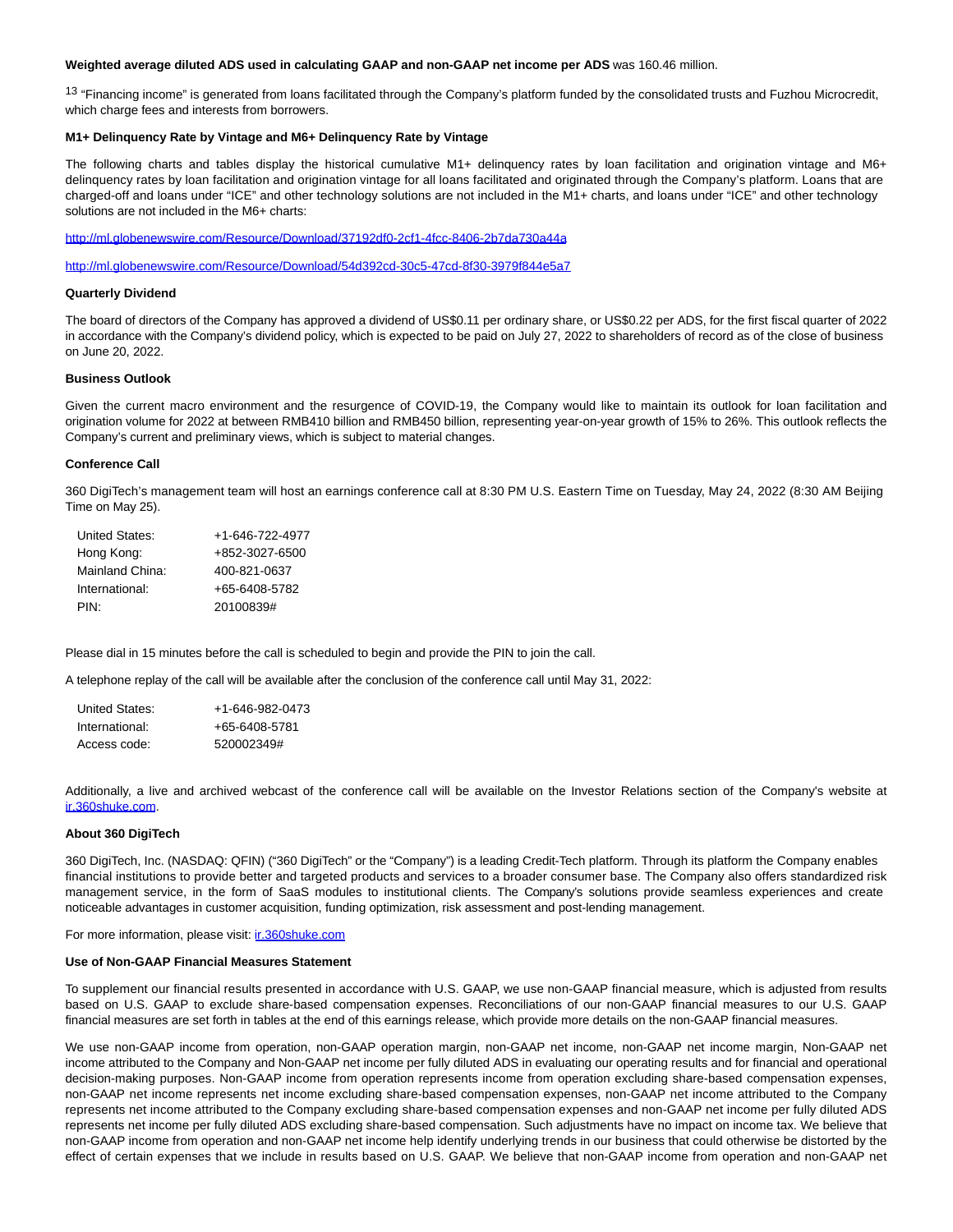#### **Weighted average diluted ADS used in calculating GAAP and non-GAAP net income per ADS** was 160.46 million.

<sup>13</sup> "Financing income" is generated from loans facilitated through the Company's platform funded by the consolidated trusts and Fuzhou Microcredit, which charge fees and interests from borrowers.

### **M1+ Delinquency Rate by Vintage and M6+ Delinquency Rate by Vintage**

The following charts and tables display the historical cumulative M1+ delinquency rates by loan facilitation and origination vintage and M6+ delinquency rates by loan facilitation and origination vintage for all loans facilitated and originated through the Company's platform. Loans that are charged-off and loans under "ICE" and other technology solutions are not included in the M1+ charts, and loans under "ICE" and other technology solutions are not included in the M6+ charts:

[http://ml.globenewswire.com/Resource/Download/37192df0-2cf1-4fcc-8406-2b7da730a44a](https://www.globenewswire.com/Tracker?data=R6rpdYfoMFbYhOWZBSDcxqZOPDUwV56G3Nsx9ZdjHyb6cwzAI5Z9sOgbyrjeXrU6DbQQ6CpYhTy0JHaAgR9OXyJuIlAgvX-B2MWDT3QOwtXrDTJNXgSWenCv-cyk6GmK-ixMwfyfwO_3P58c092S3-o2eLIez7y5W5YGT-ky6WZjGzgbPj5icrUevqEo0xcxwgbq-xv0T5BGzRq7kVXfuKCkS8Kky_WSOSTJkF_9lk5MpMikAbeA1PzQd6Q47vgL)

[http://ml.globenewswire.com/Resource/Download/54d392cd-30c5-47cd-8f30-3979f844e5a7](https://www.globenewswire.com/Tracker?data=R6rpdYfoMFbYhOWZBSDcxqZOPDUwV56G3Nsx9ZdjHyb6cwzAI5Z9sOgbyrjeXrU6nOSyvvwuMYZRmIwD_AKwq_VY-Z1ik8zX98kPm0zO5S9pl2lmlkqyzpurO-hGrFVXo3c1PSmlJQrlYTPPTbykkfyLdWoECAqiiMg2eakgDpoYx_ozPUmIfqwUo6DV4kdmS3QHyfymx0bPG6qAeWgS05wyrJfPDcjgWXqtWnnYG9URc3K4ZXZyVs9TFLkQZc-m)

#### **Quarterly Dividend**

The board of directors of the Company has approved a dividend of US\$0.11 per ordinary share, or US\$0.22 per ADS, for the first fiscal quarter of 2022 in accordance with the Company's dividend policy, which is expected to be paid on July 27, 2022 to shareholders of record as of the close of business on June 20, 2022.

### **Business Outlook**

Given the current macro environment and the resurgence of COVID-19, the Company would like to maintain its outlook for loan facilitation and origination volume for 2022 at between RMB410 billion and RMB450 billion, representing year-on-year growth of 15% to 26%. This outlook reflects the Company's current and preliminary views, which is subject to material changes.

#### **Conference Call**

360 DigiTech's management team will host an earnings conference call at 8:30 PM U.S. Eastern Time on Tuesday, May 24, 2022 (8:30 AM Beijing Time on May 25).

| United States:  | +1-646-722-4977 |
|-----------------|-----------------|
| Hong Kong:      | +852-3027-6500  |
| Mainland China: | 400-821-0637    |
| International:  | +65-6408-5782   |
| PIN:            | 20100839#       |

Please dial in 15 minutes before the call is scheduled to begin and provide the PIN to join the call.

A telephone replay of the call will be available after the conclusion of the conference call until May 31, 2022:

| United States: | +1-646-982-0473 |
|----------------|-----------------|
| International: | +65-6408-5781   |
| Access code:   | 520002349#      |

Additionally, a live and archived webcast of the conference call will be available on the Investor Relations section of the Company's website at [ir.360shuke.com.](https://www.globenewswire.com/Tracker?data=viG61cuGqebu_InnFAVVuw_EHEDAOo3HMsxwdbt7IU0QTBGNckugWCsLU098-Wv26_GpiZPs_lCRZBnUlFcwTA==)

#### **About 360 DigiTech**

360 DigiTech, Inc. (NASDAQ: QFIN) ("360 DigiTech" or the "Company") is a leading Credit-Tech platform. Through its platform the Company enables financial institutions to provide better and targeted products and services to a broader consumer base. The Company also offers standardized risk management service, in the form of SaaS modules to institutional clients. The Company's solutions provide seamless experiences and create noticeable advantages in customer acquisition, funding optimization, risk assessment and post-lending management.

For more information, please visit: [ir.360shuke.com](https://www.globenewswire.com/Tracker?data=viG61cuGqebu_InnFAVVu5LqceIs-R-eCdMS0kr3bn-IS4tt75jUfloK5i4fpFbNbxlmc1ZuTFaYsD_VLzRkt-LRUjVZux9ri4sIZho4_Dkvc7xXEodUCUueP_iXnF56)

#### **Use of Non-GAAP Financial Measures Statement**

To supplement our financial results presented in accordance with U.S. GAAP, we use non-GAAP financial measure, which is adjusted from results based on U.S. GAAP to exclude share-based compensation expenses. Reconciliations of our non-GAAP financial measures to our U.S. GAAP financial measures are set forth in tables at the end of this earnings release, which provide more details on the non-GAAP financial measures.

We use non-GAAP income from operation, non-GAAP operation margin, non-GAAP net income, non-GAAP net income margin, Non-GAAP net income attributed to the Company and Non-GAAP net income per fully diluted ADS in evaluating our operating results and for financial and operational decision-making purposes. Non-GAAP income from operation represents income from operation excluding share-based compensation expenses, non-GAAP net income represents net income excluding share-based compensation expenses, non-GAAP net income attributed to the Company represents net income attributed to the Company excluding share-based compensation expenses and non-GAAP net income per fully diluted ADS represents net income per fully diluted ADS excluding share-based compensation. Such adjustments have no impact on income tax. We believe that non-GAAP income from operation and non-GAAP net income help identify underlying trends in our business that could otherwise be distorted by the effect of certain expenses that we include in results based on U.S. GAAP. We believe that non-GAAP income from operation and non-GAAP net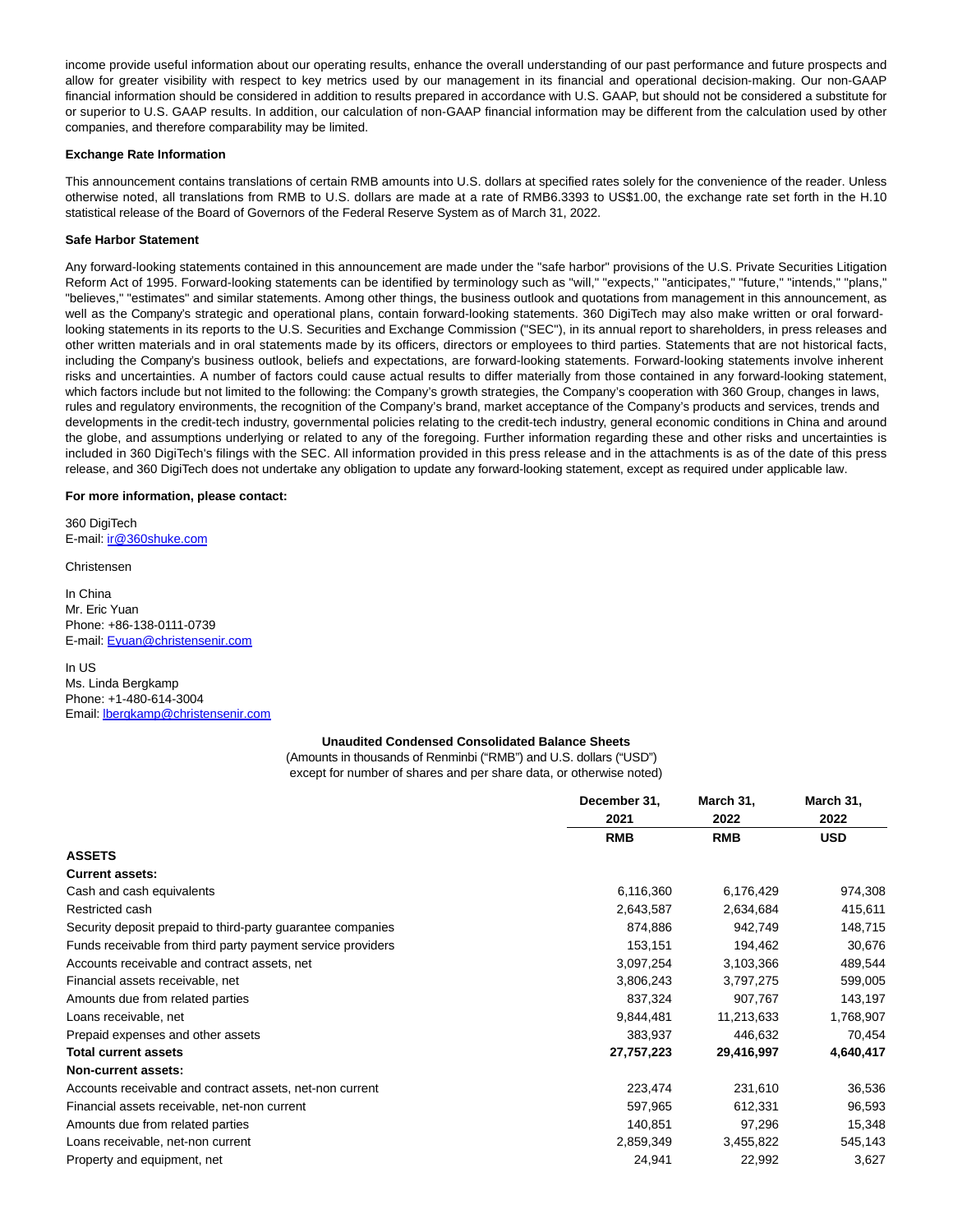income provide useful information about our operating results, enhance the overall understanding of our past performance and future prospects and allow for greater visibility with respect to key metrics used by our management in its financial and operational decision-making. Our non-GAAP financial information should be considered in addition to results prepared in accordance with U.S. GAAP, but should not be considered a substitute for or superior to U.S. GAAP results. In addition, our calculation of non-GAAP financial information may be different from the calculation used by other companies, and therefore comparability may be limited.

### **Exchange Rate Information**

This announcement contains translations of certain RMB amounts into U.S. dollars at specified rates solely for the convenience of the reader. Unless otherwise noted, all translations from RMB to U.S. dollars are made at a rate of RMB6.3393 to US\$1.00, the exchange rate set forth in the H.10 statistical release of the Board of Governors of the Federal Reserve System as of March 31, 2022.

### **Safe Harbor Statement**

Any forward-looking statements contained in this announcement are made under the "safe harbor" provisions of the U.S. Private Securities Litigation Reform Act of 1995. Forward-looking statements can be identified by terminology such as "will," "expects," "anticipates," "future," "intends," "plans," "believes," "estimates" and similar statements. Among other things, the business outlook and quotations from management in this announcement, as well as the Company's strategic and operational plans, contain forward-looking statements. 360 DigiTech may also make written or oral forwardlooking statements in its reports to the U.S. Securities and Exchange Commission ("SEC"), in its annual report to shareholders, in press releases and other written materials and in oral statements made by its officers, directors or employees to third parties. Statements that are not historical facts, including the Company's business outlook, beliefs and expectations, are forward-looking statements. Forward-looking statements involve inherent risks and uncertainties. A number of factors could cause actual results to differ materially from those contained in any forward-looking statement, which factors include but not limited to the following: the Company's growth strategies, the Company's cooperation with 360 Group, changes in laws, rules and regulatory environments, the recognition of the Company's brand, market acceptance of the Company's products and services, trends and developments in the credit-tech industry, governmental policies relating to the credit-tech industry, general economic conditions in China and around the globe, and assumptions underlying or related to any of the foregoing. Further information regarding these and other risks and uncertainties is included in 360 DigiTech's filings with the SEC. All information provided in this press release and in the attachments is as of the date of this press release, and 360 DigiTech does not undertake any obligation to update any forward-looking statement, except as required under applicable law.

### **For more information, please contact:**

360 DigiTech E-mail: [ir@360shuke.com](https://www.globenewswire.com/Tracker?data=nzuv6UB6mdEbw_UiuZMtvYhIRyXiQ20ORedSDtPdwyZaBpI_5IdKbSeiu94YYHlLlgqTJsWbXwhrK01VW_g7Iw==)

Christensen

In China Mr. Eric Yuan Phone: +86-138-0111-0739 E-mail: [Eyuan@christensenir.com](https://www.globenewswire.com/Tracker?data=KAC0qWMDWlJb75YvKDEN5ngomSi-_hIdjw-cg-rEY1lF1yMTPgQv1-IZZquJcaegyfdy_gG3MRQ42Ij8i0ZXw0TSDPYZwTHQHalHBXLqAa8=)

In US

Ms. Linda Bergkamp Phone: +1-480-614-3004 Email[: lbergkamp@christensenir.com](https://www.globenewswire.com/Tracker?data=udFmPm5OfQBeAGRhLJgIWiNrAAqUpbHd9xWx9ha2cdYtov-zN6h7IWkSCEBzwENczqsGR05ejWEimv1wRyhu5AfRdV8oAD58bXg-9ROpkE7RyA2VwgD1dIULEVQzlMPF)

### **Unaudited Condensed Consolidated Balance Sheets**

(Amounts in thousands of Renminbi ("RMB") and U.S. dollars ("USD") except for number of shares and per share data, or otherwise noted)

|                                                             | December 31,<br>2021 | March 31,<br>2022<br><b>RMB</b> | March 31,<br>2022<br><b>USD</b> |
|-------------------------------------------------------------|----------------------|---------------------------------|---------------------------------|
|                                                             | <b>RMB</b>           |                                 |                                 |
| <b>ASSETS</b>                                               |                      |                                 |                                 |
| <b>Current assets:</b>                                      |                      |                                 |                                 |
| Cash and cash equivalents                                   | 6,116,360            | 6,176,429                       | 974,308                         |
| Restricted cash                                             | 2,643,587            | 2,634,684                       | 415,611                         |
| Security deposit prepaid to third-party guarantee companies | 874,886              | 942,749                         | 148,715                         |
| Funds receivable from third party payment service providers | 153,151              | 194,462                         | 30,676                          |
| Accounts receivable and contract assets, net                | 3,097,254            | 3,103,366                       | 489,544                         |
| Financial assets receivable, net                            | 3,806,243            | 3,797,275                       | 599,005                         |
| Amounts due from related parties                            | 837,324              | 907,767                         | 143,197                         |
| Loans receivable, net                                       | 9,844,481            | 11,213,633                      | 1,768,907                       |
| Prepaid expenses and other assets                           | 383,937              | 446,632                         | 70,454                          |
| <b>Total current assets</b>                                 | 27,757,223           | 29,416,997                      | 4,640,417                       |
| Non-current assets:                                         |                      |                                 |                                 |
| Accounts receivable and contract assets, net-non current    | 223,474              | 231,610                         | 36,536                          |
| Financial assets receivable, net-non current                | 597,965              | 612,331                         | 96,593                          |
| Amounts due from related parties                            | 140,851              | 97,296                          | 15,348                          |
| Loans receivable, net-non current                           | 2,859,349            | 3,455,822                       | 545,143                         |
| Property and equipment, net                                 | 24,941               | 22,992                          | 3,627                           |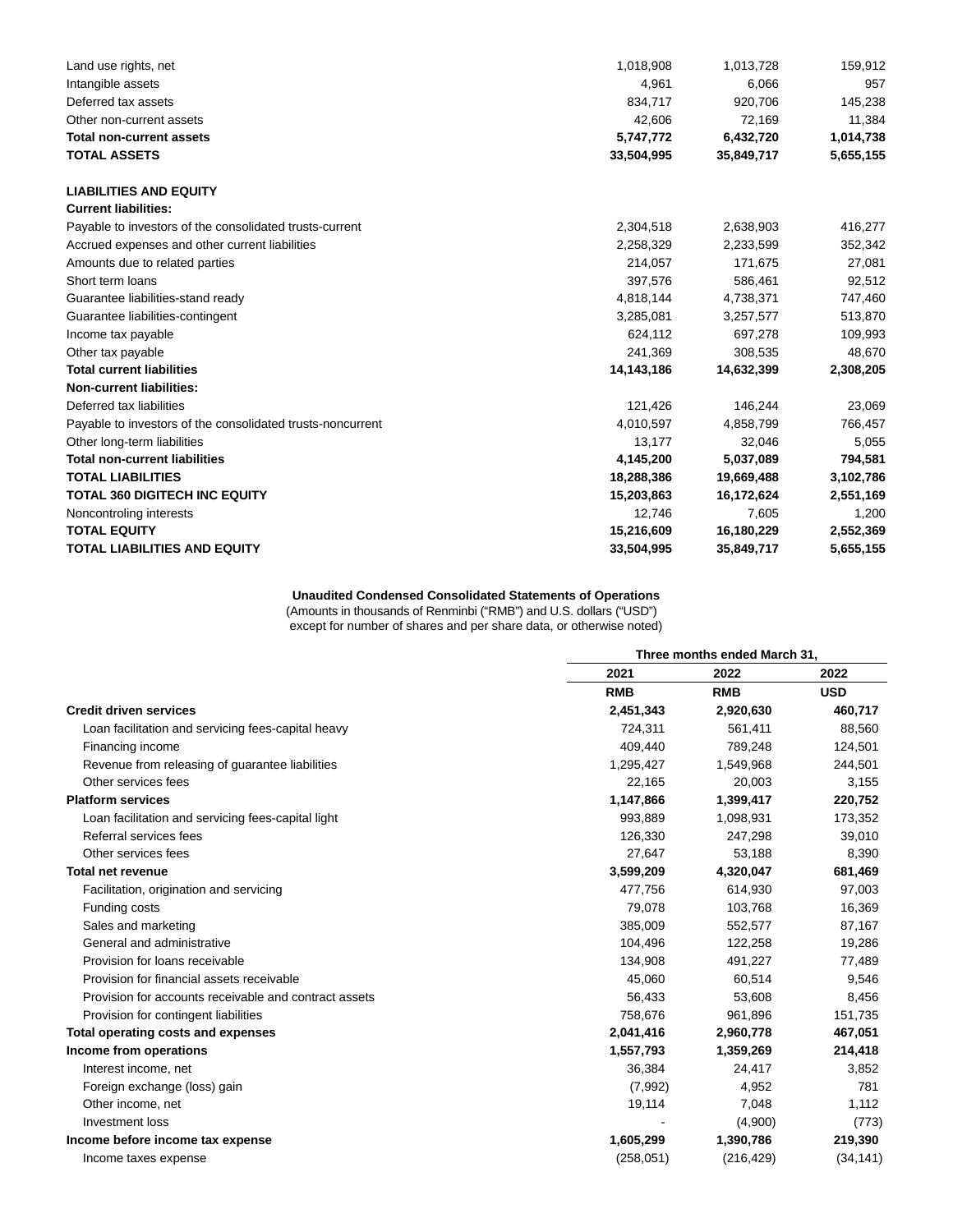| Land use rights, net                                       | 1,018,908  | 1,013,728  | 159,912   |
|------------------------------------------------------------|------------|------------|-----------|
| Intangible assets                                          | 4,961      | 6,066      | 957       |
| Deferred tax assets                                        | 834,717    | 920,706    | 145,238   |
| Other non-current assets                                   | 42,606     | 72,169     | 11,384    |
| <b>Total non-current assets</b>                            | 5,747,772  | 6,432,720  | 1,014,738 |
| <b>TOTAL ASSETS</b>                                        | 33,504,995 | 35,849,717 | 5,655,155 |
| <b>LIABILITIES AND EQUITY</b>                              |            |            |           |
| <b>Current liabilities:</b>                                |            |            |           |
| Payable to investors of the consolidated trusts-current    | 2,304,518  | 2,638,903  | 416,277   |
| Accrued expenses and other current liabilities             | 2,258,329  | 2,233,599  | 352,342   |
| Amounts due to related parties                             | 214,057    | 171,675    | 27,081    |
| Short term loans                                           | 397,576    | 586,461    | 92,512    |
| Guarantee liabilities-stand ready                          | 4,818,144  | 4,738,371  | 747,460   |
| Guarantee liabilities-contingent                           | 3,285,081  | 3,257,577  | 513,870   |
| Income tax payable                                         | 624,112    | 697,278    | 109,993   |
| Other tax payable                                          | 241,369    | 308,535    | 48,670    |
| <b>Total current liabilities</b>                           | 14,143,186 | 14,632,399 | 2,308,205 |
| <b>Non-current liabilities:</b>                            |            |            |           |
| Deferred tax liabilities                                   | 121,426    | 146,244    | 23,069    |
| Payable to investors of the consolidated trusts-noncurrent | 4,010,597  | 4,858,799  | 766,457   |
| Other long-term liabilities                                | 13,177     | 32,046     | 5,055     |
| <b>Total non-current liabilities</b>                       | 4,145,200  | 5,037,089  | 794,581   |
| <b>TOTAL LIABILITIES</b>                                   | 18,288,386 | 19,669,488 | 3,102,786 |
| <b>TOTAL 360 DIGITECH INC EQUITY</b>                       | 15,203,863 | 16,172,624 | 2,551,169 |
| Noncontroling interests                                    | 12,746     | 7,605      | 1,200     |
| <b>TOTAL EQUITY</b>                                        | 15,216,609 | 16,180,229 | 2,552,369 |
| <b>TOTAL LIABILITIES AND EQUITY</b>                        | 33,504,995 | 35,849,717 | 5,655,155 |

#### **Unaudited Condensed Consolidated Statements of Operations**

(Amounts in thousands of Renminbi ("RMB") and U.S. dollars ("USD")

except for number of shares and per share data, or otherwise noted)

|                                                       | Three months ended March 31, |            |            |
|-------------------------------------------------------|------------------------------|------------|------------|
|                                                       | 2021                         | 2022       | 2022       |
|                                                       | <b>RMB</b>                   | <b>RMB</b> | <b>USD</b> |
| <b>Credit driven services</b>                         | 2,451,343                    | 2,920,630  | 460,717    |
| Loan facilitation and servicing fees-capital heavy    | 724,311                      | 561,411    | 88,560     |
| Financing income                                      | 409,440                      | 789,248    | 124,501    |
| Revenue from releasing of guarantee liabilities       | 1,295,427                    | 1,549,968  | 244,501    |
| Other services fees                                   | 22,165                       | 20,003     | 3,155      |
| <b>Platform services</b>                              | 1,147,866                    | 1,399,417  | 220,752    |
| Loan facilitation and servicing fees-capital light    | 993,889                      | 1,098,931  | 173,352    |
| Referral services fees                                | 126,330                      | 247,298    | 39,010     |
| Other services fees                                   | 27,647                       | 53,188     | 8,390      |
| <b>Total net revenue</b>                              | 3,599,209                    | 4,320,047  | 681,469    |
| Facilitation, origination and servicing               | 477,756                      | 614,930    | 97,003     |
| Funding costs                                         | 79,078                       | 103,768    | 16,369     |
| Sales and marketing                                   | 385,009                      | 552,577    | 87,167     |
| General and administrative                            | 104,496                      | 122,258    | 19,286     |
| Provision for loans receivable                        | 134,908                      | 491,227    | 77,489     |
| Provision for financial assets receivable             | 45,060                       | 60,514     | 9,546      |
| Provision for accounts receivable and contract assets | 56,433                       | 53,608     | 8,456      |
| Provision for contingent liabilities                  | 758,676                      | 961,896    | 151,735    |
| Total operating costs and expenses                    | 2,041,416                    | 2,960,778  | 467,051    |
| Income from operations                                | 1,557,793                    | 1,359,269  | 214,418    |
| Interest income, net                                  | 36,384                       | 24,417     | 3,852      |
| Foreign exchange (loss) gain                          | (7,992)                      | 4,952      | 781        |
| Other income, net                                     | 19,114                       | 7,048      | 1,112      |
| Investment loss                                       |                              | (4,900)    | (773)      |
| Income before income tax expense                      | 1,605,299                    | 1,390,786  | 219,390    |
| Income taxes expense                                  | (258, 051)                   | (216, 429) | (34, 141)  |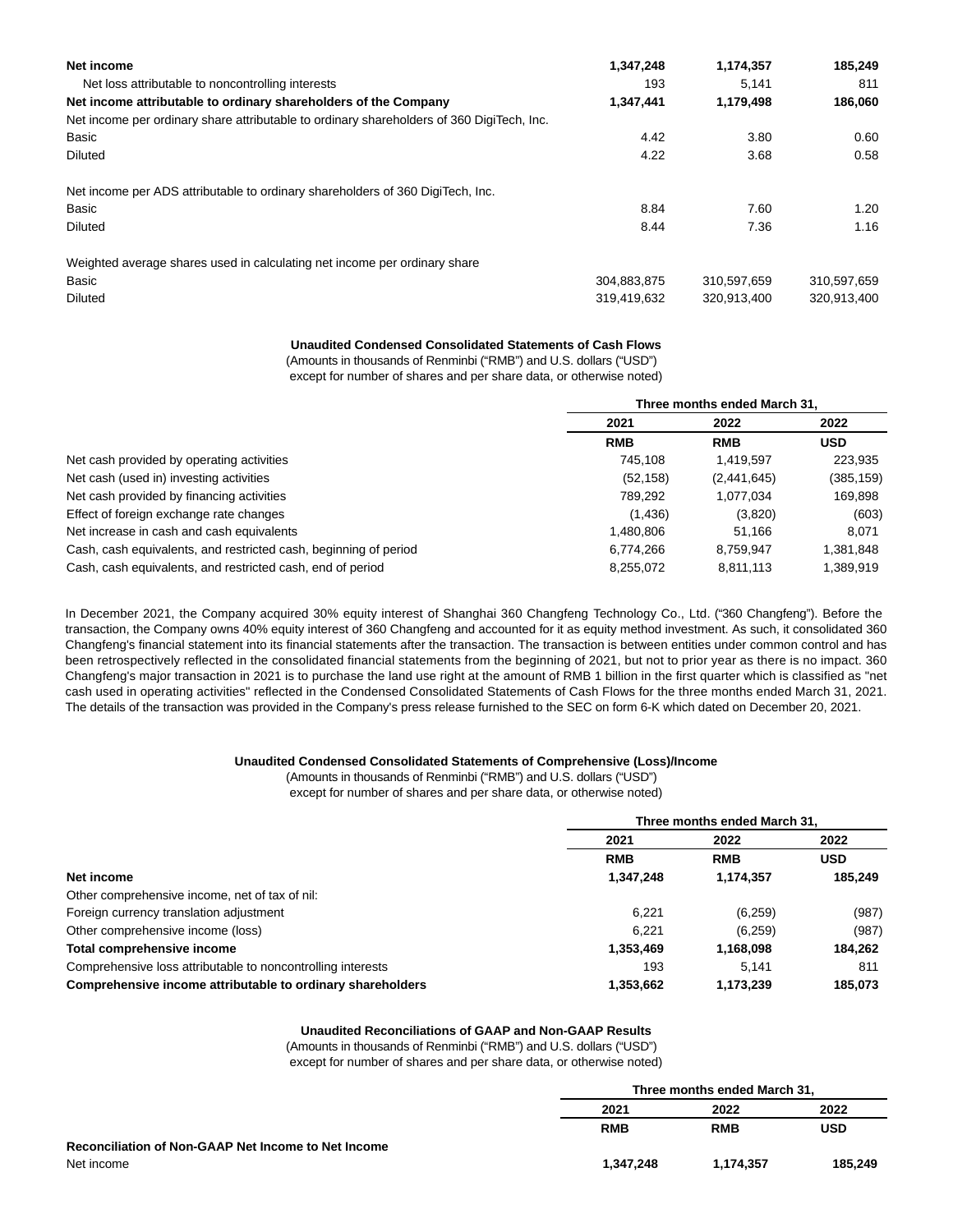| Net income                                                                                | 1,347,248   | 1,174,357   | 185.249     |
|-------------------------------------------------------------------------------------------|-------------|-------------|-------------|
| Net loss attributable to noncontrolling interests                                         | 193         | 5.141       | 811         |
| Net income attributable to ordinary shareholders of the Company                           | 1,347,441   | 1,179,498   | 186,060     |
| Net income per ordinary share attributable to ordinary shareholders of 360 DigiTech, Inc. |             |             |             |
| Basic                                                                                     | 4.42        | 3.80        | 0.60        |
| Diluted                                                                                   | 4.22        | 3.68        | 0.58        |
| Net income per ADS attributable to ordinary shareholders of 360 DigiTech, Inc.            |             |             |             |
| Basic                                                                                     | 8.84        | 7.60        | 1.20        |
| Diluted                                                                                   | 8.44        | 7.36        | 1.16        |
| Weighted average shares used in calculating net income per ordinary share                 |             |             |             |
| Basic                                                                                     | 304,883,875 | 310,597,659 | 310,597,659 |
| Diluted                                                                                   | 319,419,632 | 320.913.400 | 320.913.400 |

### **Unaudited Condensed Consolidated Statements of Cash Flows**

(Amounts in thousands of Renminbi ("RMB") and U.S. dollars ("USD") except for number of shares and per share data, or otherwise noted)

|                                                                  | Three months ended March 31, |             |            |
|------------------------------------------------------------------|------------------------------|-------------|------------|
|                                                                  | 2021                         | 2022        | 2022       |
|                                                                  | <b>RMB</b>                   | <b>RMB</b>  | <b>USD</b> |
| Net cash provided by operating activities                        | 745.108                      | 1.419.597   | 223.935    |
| Net cash (used in) investing activities                          | (52, 158)                    | (2,441,645) | (385,159)  |
| Net cash provided by financing activities                        | 789.292                      | 1.077.034   | 169,898    |
| Effect of foreign exchange rate changes                          | (1, 436)                     | (3,820)     | (603)      |
| Net increase in cash and cash equivalents                        | 1,480,806                    | 51,166      | 8.071      |
| Cash, cash equivalents, and restricted cash, beginning of period | 6.774.266                    | 8,759,947   | 1,381,848  |
| Cash, cash equivalents, and restricted cash, end of period       | 8,255,072                    | 8.811.113   | 1.389.919  |

In December 2021, the Company acquired 30% equity interest of Shanghai 360 Changfeng Technology Co., Ltd. ("360 Changfeng"). Before the transaction, the Company owns 40% equity interest of 360 Changfeng and accounted for it as equity method investment. As such, it consolidated 360 Changfeng's financial statement into its financial statements after the transaction. The transaction is between entities under common control and has been retrospectively reflected in the consolidated financial statements from the beginning of 2021, but not to prior year as there is no impact. 360 Changfeng's major transaction in 2021 is to purchase the land use right at the amount of RMB 1 billion in the first quarter which is classified as "net cash used in operating activities" reflected in the Condensed Consolidated Statements of Cash Flows for the three months ended March 31, 2021. The details of the transaction was provided in the Company's press release furnished to the SEC on form 6-K which dated on December 20, 2021.

### **Unaudited Condensed Consolidated Statements of Comprehensive (Loss)/Income**

(Amounts in thousands of Renminbi ("RMB") and U.S. dollars ("USD") except for number of shares and per share data, or otherwise noted)

|                                                             | Three months ended March 31, |            |            |
|-------------------------------------------------------------|------------------------------|------------|------------|
|                                                             | 2021                         | 2022       | 2022       |
|                                                             | <b>RMB</b>                   | <b>RMB</b> | <b>USD</b> |
| Net income                                                  | 1,347,248                    | 1,174,357  | 185,249    |
| Other comprehensive income, net of tax of nil:              |                              |            |            |
| Foreign currency translation adjustment                     | 6.221                        | (6,259)    | (987)      |
| Other comprehensive income (loss)                           | 6.221                        | (6,259)    | (987)      |
| Total comprehensive income                                  | 1,353,469                    | 1,168,098  | 184,262    |
| Comprehensive loss attributable to noncontrolling interests | 193                          | 5.141      | 811        |
| Comprehensive income attributable to ordinary shareholders  | 1,353,662                    | 1,173,239  | 185,073    |

# **Unaudited Reconciliations of GAAP and Non-GAAP Results**

(Amounts in thousands of Renminbi ("RMB") and U.S. dollars ("USD")

except for number of shares and per share data, or otherwise noted)

|                                                     |            | Three months ended March 31, |            |  |
|-----------------------------------------------------|------------|------------------------------|------------|--|
|                                                     | 2021       | 2022                         | 2022       |  |
|                                                     | <b>RMB</b> | <b>RMB</b>                   | <b>USD</b> |  |
| Reconciliation of Non-GAAP Net Income to Net Income |            |                              |            |  |
| Net income                                          | 1,347,248  | 1.174.357                    | 185.249    |  |